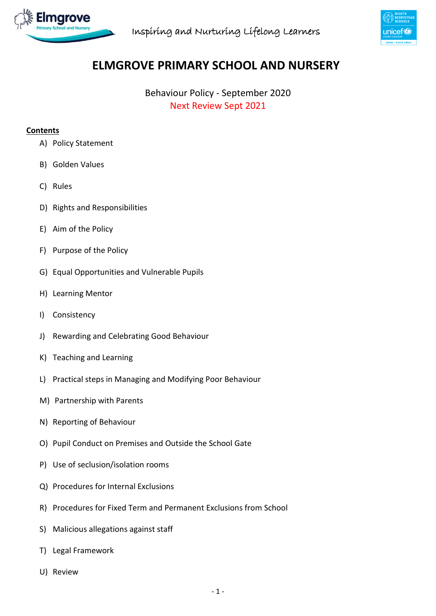



# **ELMGROVE PRIMARY SCHOOL AND NURSERY**

Behaviour Policy - September 2020 Next Review Sept 2021

#### **Contents**

- A) Policy Statement
- B) Golden Values
- C) Rules
- D) Rights and Responsibilities
- E) Aim of the Policy
- F) Purpose of the Policy
- G) Equal Opportunities and Vulnerable Pupils
- H) Learning Mentor
- I) Consistency
- J) Rewarding and Celebrating Good Behaviour
- K) Teaching and Learning
- L) Practical steps in Managing and Modifying Poor Behaviour
- M) Partnership with Parents
- N) Reporting of Behaviour
- O) Pupil Conduct on Premises and Outside the School Gate
- P) Use of seclusion/isolation rooms
- Q) Procedures for Internal Exclusions
- R) Procedures for Fixed Term and Permanent Exclusions from School
- S) Malicious allegations against staff
- T) Legal Framework
- U) Review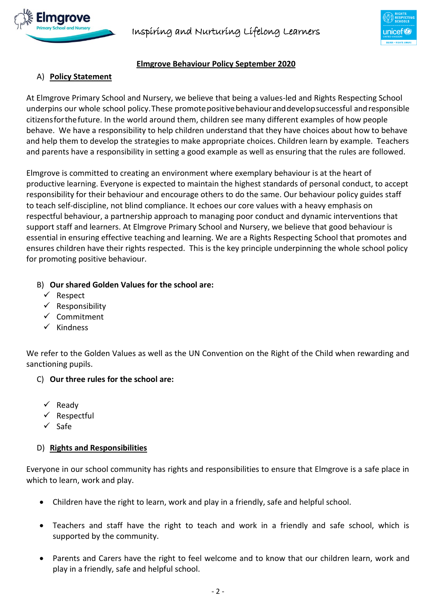





# **Elmgrove Behaviour Policy September 2020**

### A) **Policy Statement**

At Elmgrove Primary School and Nursery, we believe that being a values-led and Rights Respecting School underpins our whole school policy.These promotepositivebehaviouranddevelopsuccessful andresponsible citizensforthefuture. In the world around them, children see many different examples of how people behave. We have a responsibility to help children understand that they have choices about how to behave and help them to develop the strategies to make appropriate choices. Children learn by example. Teachers and parents have a responsibility in setting a good example as well as ensuring that the rules are followed.

Elmgrove is committed to creating an environment where exemplary behaviour is at the heart of productive learning. Everyone is expected to maintain the highest standards of personal conduct, to accept responsibility for their behaviour and encourage others to do the same. Our behaviour policy guides staff to teach self-discipline, not blind compliance. It echoes our core values with a heavy emphasis on respectful behaviour, a partnership approach to managing poor conduct and dynamic interventions that support staff and learners. At Elmgrove Primary School and Nursery, we believe that good behaviour is essential in ensuring effective teaching and learning. We are a Rights Respecting School that promotes and ensures children have their rights respected. This is the key principle underpinning the whole school policy for promoting positive behaviour.

#### B) **Our shared Golden Values for the school are:**

- $\checkmark$  Respect
- $\checkmark$  Responsibility
- $\checkmark$  Commitment
- $\checkmark$  Kindness

We refer to the Golden Values as well as the UN Convention on the Right of the Child when rewarding and sanctioning pupils.

#### C) **Our three rules for the school are:**

- $\checkmark$  Ready
- $\checkmark$  Respectful
- $\checkmark$  Safe

#### D) **Rights and Responsibilities**

Everyone in our school community has rights and responsibilities to ensure that Elmgrove is a safe place in which to learn, work and play.

- Children have the right to learn, work and play in a friendly, safe and helpful school.
- Teachers and staff have the right to teach and work in a friendly and safe school, which is supported by the community.
- Parents and Carers have the right to feel welcome and to know that our children learn, work and play in a friendly, safe and helpful school.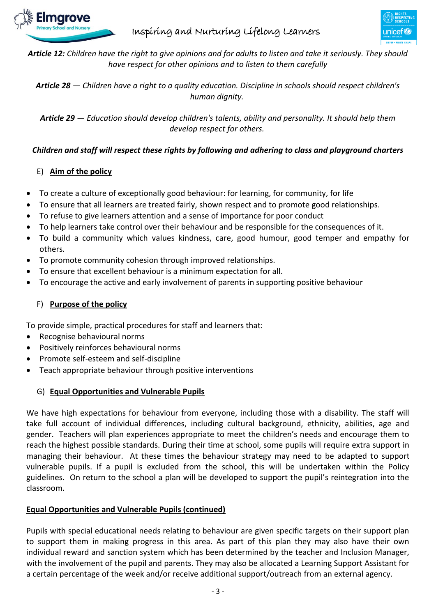

# Inspiring and Nurturing Lifelong Learners



*Article 12: Children have the right to give opinions and for adults to listen and take it seriously. They should have respect for other opinions and to listen to them carefully* 

*Article 28 — Children have a right to a quality education. Discipline in schools should respect children's human dignity.*

*Article 29 — Education should develop children's talents, ability and personality. It should help them develop respect for others.*

# *Children and staff will respect these rights by following and adhering to class and playground charters*

#### E) **Aim of the policy**

- To create a culture of exceptionally good behaviour: for learning, for community, for life
- To ensure that all learners are treated fairly, shown respect and to promote good relationships.
- To refuse to give learners attention and a sense of importance for poor conduct
- To help learners take control over their behaviour and be responsible for the consequences of it.
- To build a community which values kindness, care, good humour, good temper and empathy for others.
- To promote community cohesion through improved relationships.
- To ensure that excellent behaviour is a minimum expectation for all.
- To encourage the active and early involvement of parents in supporting positive behaviour

### F) **Purpose of the policy**

To provide simple, practical procedures for staff and learners that:

- Recognise behavioural norms
- Positively reinforces behavioural norms
- Promote self-esteem and self-discipline
- Teach appropriate behaviour through positive interventions

#### G) **Equal Opportunities and Vulnerable Pupils**

We have high expectations for behaviour from everyone, including those with a disability. The staff will take full account of individual differences, including cultural background, ethnicity, abilities, age and gender. Teachers will plan experiences appropriate to meet the children's needs and encourage them to reach the highest possible standards. During their time at school, some pupils will require extra support in managing their behaviour. At these times the behaviour strategy may need to be adapted to support vulnerable pupils. If a pupil is excluded from the school, this will be undertaken within the Policy guidelines. On return to the school a plan will be developed to support the pupil's reintegration into the classroom.

# **Equal Opportunities and Vulnerable Pupils (continued)**

Pupils with special educational needs relating to behaviour are given specific targets on their support plan to support them in making progress in this area. As part of this plan they may also have their own individual reward and sanction system which has been determined by the teacher and Inclusion Manager, with the involvement of the pupil and parents. They may also be allocated a Learning Support Assistant for a certain percentage of the week and/or receive additional support/outreach from an external agency.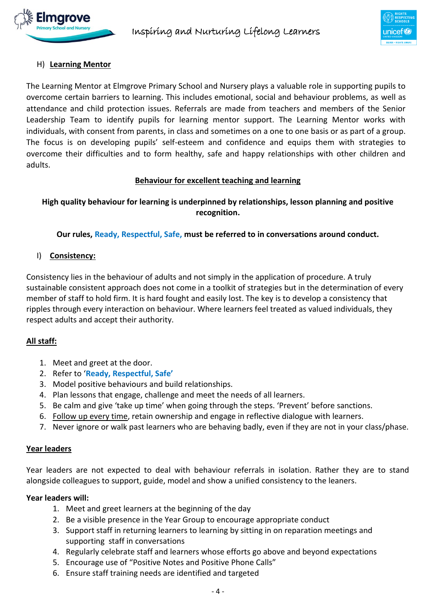

#### H) **Learning Mentor**

The Learning Mentor at Elmgrove Primary School and Nursery plays a valuable role in supporting pupils to overcome certain barriers to learning. This includes emotional, social and behaviour problems, as well as attendance and child protection issues. Referrals are made from teachers and members of the Senior Leadership Team to identify pupils for learning mentor support. The Learning Mentor works with individuals, with consent from parents, in class and sometimes on a one to one basis or as part of a group. The focus is on developing pupils' self-esteem and confidence and equips them with strategies to overcome their difficulties and to form healthy, safe and happy relationships with other children and adults.

#### **Behaviour for excellent teaching and learning**

### **High quality behaviour for learning is underpinned by relationships, lesson planning and positive recognition.**

#### **Our rules, Ready, Respectful, Safe, must be referred to in conversations around conduct.**

I) **Consistency:**

Consistency lies in the behaviour of adults and not simply in the application of procedure. A truly sustainable consistent approach does not come in a toolkit of strategies but in the determination of every member of staff to hold firm. It is hard fought and easily lost. The key is to develop a consistency that ripples through every interaction on behaviour. Where learners feel treated as valued individuals, they respect adults and accept their authority.

#### **All staff:**

- 1. Meet and greet at the door.
- 2. Refer to '**Ready, Respectful, Safe'**
- 3. Model positive behaviours and build relationships.
- 4. Plan lessons that engage, challenge and meet the needs of all learners.
- 5. Be calm and give 'take up time' when going through the steps. 'Prevent' before sanctions.
- 6. Follow up every time, retain ownership and engage in reflective dialogue with learners.
- 7. Never ignore or walk past learners who are behaving badly, even if they are not in your class/phase.

#### **Year leaders**

Year leaders are not expected to deal with behaviour referrals in isolation. Rather they are to stand alongside colleagues to support, guide, model and show a unified consistency to the leaners.

#### **Year leaders will:**

- 1. Meet and greet learners at the beginning of the day
- 2. Be a visible presence in the Year Group to encourage appropriate conduct
- 3. Support staff in returning learners to learning by sitting in on reparation meetings and supporting staff in conversations
- 4. Regularly celebrate staff and learners whose efforts go above and beyond expectations
- 5. Encourage use of "Positive Notes and Positive Phone Calls"
- 6. Ensure staff training needs are identified and targeted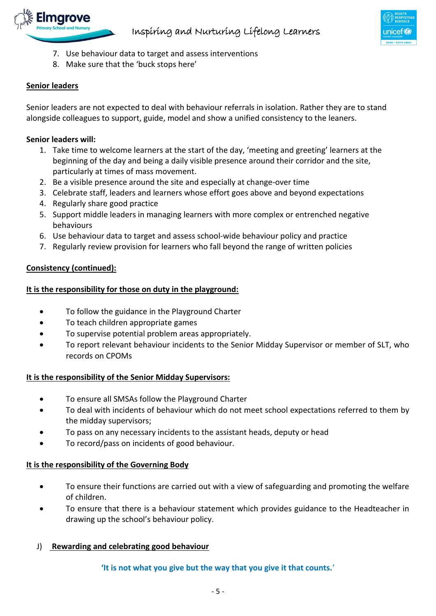

- 7. Use behaviour data to target and assess interventions
- 8. Make sure that the 'buck stops here'

# **Senior leaders**

Senior leaders are not expected to deal with behaviour referrals in isolation. Rather they are to stand alongside colleagues to support, guide, model and show a unified consistency to the leaners.

# **Senior leaders will:**

- 1. Take time to welcome learners at the start of the day, 'meeting and greeting' learners at the beginning of the day and being a daily visible presence around their corridor and the site, particularly at times of mass movement.
- 2. Be a visible presence around the site and especially at change-over time
- 3. Celebrate staff, leaders and learners whose effort goes above and beyond expectations
- 4. Regularly share good practice
- 5. Support middle leaders in managing learners with more complex or entrenched negative behaviours
- 6. Use behaviour data to target and assess school-wide behaviour policy and practice
- 7. Regularly review provision for learners who fall beyond the range of written policies

# **Consistency (continued):**

# **It is the responsibility for those on duty in the playground:**

- To follow the guidance in the Playground Charter
- To teach children appropriate games
- To supervise potential problem areas appropriately.
- To report relevant behaviour incidents to the Senior Midday Supervisor or member of SLT, who records on CPOMs

# **It is the responsibility of the Senior Midday Supervisors:**

- To ensure all SMSAs follow the Playground Charter
- To deal with incidents of behaviour which do not meet school expectations referred to them by the midday supervisors;
- To pass on any necessary incidents to the assistant heads, deputy or head
- To record/pass on incidents of good behaviour.

# **It is the responsibility of the Governing Body**

- To ensure their functions are carried out with a view of safeguarding and promoting the welfare of children.
- To ensure that there is a behaviour statement which provides guidance to the Headteacher in drawing up the school's behaviour policy.

# J) **Rewarding and celebrating good behaviour**

**'It is not what you give but the way that you give it that counts.**'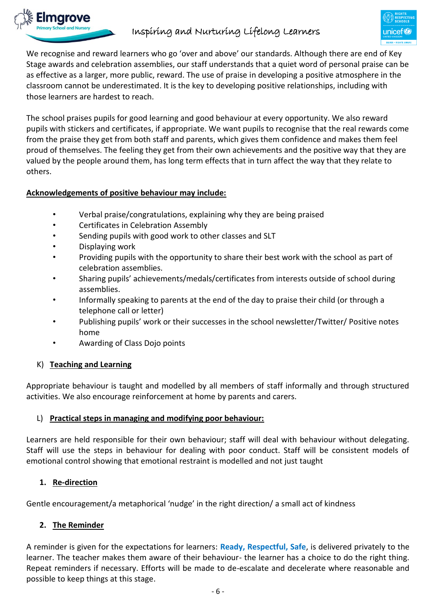

# Inspiring and Nurturing Lifelong Learners



We recognise and reward learners who go 'over and above' our standards. Although there are end of Key Stage awards and celebration assemblies, our staff understands that a quiet word of personal praise can be as effective as a larger, more public, reward. The use of praise in developing a positive atmosphere in the classroom cannot be underestimated. It is the key to developing positive relationships, including with those learners are hardest to reach.

The school praises pupils for good learning and good behaviour at every opportunity. We also reward pupils with stickers and certificates, if appropriate. We want pupils to recognise that the real rewards come from the praise they get from both staff and parents, which gives them confidence and makes them feel proud of themselves. The feeling they get from their own achievements and the positive way that they are valued by the people around them, has long term effects that in turn affect the way that they relate to others.

# **Acknowledgements of positive behaviour may include:**

- Verbal praise/congratulations, explaining why they are being praised
- Certificates in Celebration Assembly
- Sending pupils with good work to other classes and SLT
- Displaying work
- Providing pupils with the opportunity to share their best work with the school as part of celebration assemblies.
- Sharing pupils' achievements/medals/certificates from interests outside of school during assemblies.
- Informally speaking to parents at the end of the day to praise their child (or through a telephone call or letter)
- Publishing pupils' work or their successes in the school newsletter/Twitter/ Positive notes home
- Awarding of Class Dojo points

#### K) **Teaching and Learning**

Appropriate behaviour is taught and modelled by all members of staff informally and through structured activities. We also encourage reinforcement at home by parents and carers.

#### L) **Practical steps in managing and modifying poor behaviour:**

Learners are held responsible for their own behaviour; staff will deal with behaviour without delegating. Staff will use the steps in behaviour for dealing with poor conduct. Staff will be consistent models of emotional control showing that emotional restraint is modelled and not just taught

#### **1. Re-direction**

Gentle encouragement/a metaphorical 'nudge' in the right direction/ a small act of kindness

# **2. The Reminder**

A reminder is given for the expectations for learners: **Ready, Respectful, Safe**, is delivered privately to the learner. The teacher makes them aware of their behaviour- the learner has a choice to do the right thing. Repeat reminders if necessary. Efforts will be made to de-escalate and decelerate where reasonable and possible to keep things at this stage.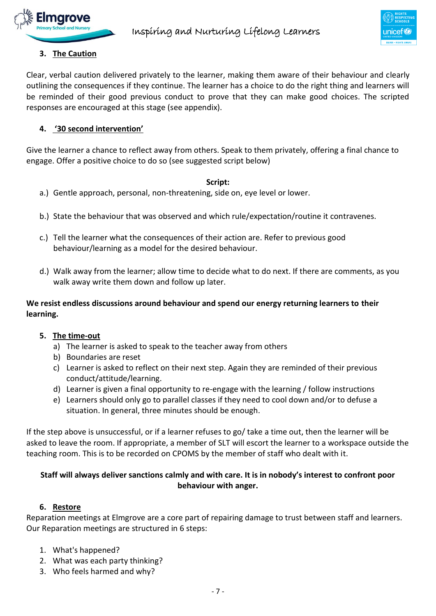



# **3. The Caution**

Clear, verbal caution delivered privately to the learner, making them aware of their behaviour and clearly outlining the consequences if they continue. The learner has a choice to do the right thing and learners will be reminded of their good previous conduct to prove that they can make good choices. The scripted responses are encouraged at this stage (see appendix).

# **4. '30 second intervention'**

Give the learner a chance to reflect away from others. Speak to them privately, offering a final chance to engage. Offer a positive choice to do so (see suggested script below)

#### **Script:**

- a.) Gentle approach, personal, non-threatening, side on, eye level or lower.
- b.) State the behaviour that was observed and which rule/expectation/routine it contravenes.
- c.) Tell the learner what the consequences of their action are. Refer to previous good behaviour/learning as a model for the desired behaviour.
- d.) Walk away from the learner; allow time to decide what to do next. If there are comments, as you walk away write them down and follow up later.

# **We resist endless discussions around behaviour and spend our energy returning learners to their learning.**

#### **5. The time-out**

- a) The learner is asked to speak to the teacher away from others
- b) Boundaries are reset
- c) Learner is asked to reflect on their next step. Again they are reminded of their previous conduct/attitude/learning.
- d) Learner is given a final opportunity to re-engage with the learning / follow instructions
- e) Learners should only go to parallel classes if they need to cool down and/or to defuse a situation. In general, three minutes should be enough.

If the step above is unsuccessful, or if a learner refuses to go/ take a time out, then the learner will be asked to leave the room. If appropriate, a member of SLT will escort the learner to a workspace outside the teaching room. This is to be recorded on CPOMS by the member of staff who dealt with it.

# **Staff will always deliver sanctions calmly and with care. It is in nobody's interest to confront poor behaviour with anger.**

#### **6. Restore**

Reparation meetings at Elmgrove are a core part of repairing damage to trust between staff and learners. Our Reparation meetings are structured in 6 steps:

- 1. What's happened?
- 2. What was each party thinking?
- 3. Who feels harmed and why?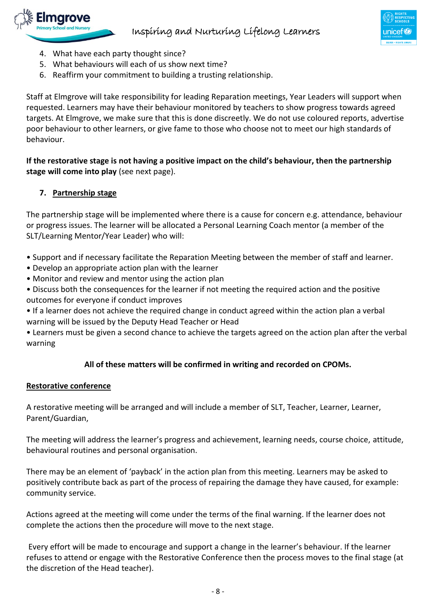



- 4. What have each party thought since?
- 5. What behaviours will each of us show next time?
- 6. Reaffirm your commitment to building a trusting relationship.

Staff at Elmgrove will take responsibility for leading Reparation meetings, Year Leaders will support when requested. Learners may have their behaviour monitored by teachers to show progress towards agreed targets. At Elmgrove, we make sure that this is done discreetly. We do not use coloured reports, advertise poor behaviour to other learners, or give fame to those who choose not to meet our high standards of behaviour.

**If the restorative stage is not having a positive impact on the child's behaviour, then the partnership stage will come into play** (see next page).

# **7. Partnership stage**

The partnership stage will be implemented where there is a cause for concern e.g. attendance, behaviour or progress issues. The learner will be allocated a Personal Learning Coach mentor (a member of the SLT/Learning Mentor/Year Leader) who will:

- Support and if necessary facilitate the Reparation Meeting between the member of staff and learner.
- Develop an appropriate action plan with the learner
- Monitor and review and mentor using the action plan
- Discuss both the consequences for the learner if not meeting the required action and the positive outcomes for everyone if conduct improves
- If a learner does not achieve the required change in conduct agreed within the action plan a verbal warning will be issued by the Deputy Head Teacher or Head
- Learners must be given a second chance to achieve the targets agreed on the action plan after the verbal warning

#### **All of these matters will be confirmed in writing and recorded on CPOMs.**

#### **Restorative conference**

A restorative meeting will be arranged and will include a member of SLT, Teacher, Learner, Learner, Parent/Guardian,

The meeting will address the learner's progress and achievement, learning needs, course choice, attitude, behavioural routines and personal organisation.

There may be an element of 'payback' in the action plan from this meeting. Learners may be asked to positively contribute back as part of the process of repairing the damage they have caused, for example: community service.

Actions agreed at the meeting will come under the terms of the final warning. If the learner does not complete the actions then the procedure will move to the next stage.

Every effort will be made to encourage and support a change in the learner's behaviour. If the learner refuses to attend or engage with the Restorative Conference then the process moves to the final stage (at the discretion of the Head teacher).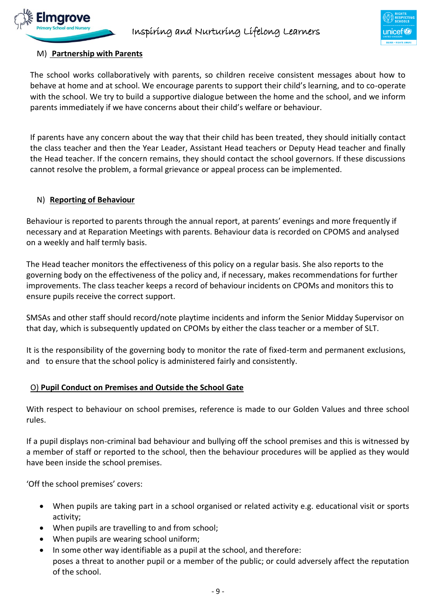



#### M) **Partnership with Parents**

The school works collaboratively with parents, so children receive consistent messages about how to behave at home and at school. We encourage parents to support their child's learning, and to co-operate with the school. We try to build a supportive dialogue between the home and the school, and we inform parents immediately if we have concerns about their child's welfare or behaviour.

If parents have any concern about the way that their child has been treated, they should initially contact the class teacher and then the Year Leader, Assistant Head teachers or Deputy Head teacher and finally the Head teacher. If the concern remains, they should contact the school governors. If these discussions cannot resolve the problem, a formal grievance or appeal process can be implemented.

#### N) **Reporting of Behaviour**

Behaviour is reported to parents through the annual report, at parents' evenings and more frequently if necessary and at Reparation Meetings with parents. Behaviour data is recorded on CPOMS and analysed on a weekly and half termly basis.

The Head teacher monitors the effectiveness of this policy on a regular basis. She also reports to the governing body on the effectiveness of the policy and, if necessary, makes recommendations for further improvements. The class teacher keeps a record of behaviour incidents on CPOMs and monitors this to ensure pupils receive the correct support.

SMSAs and other staff should record/note playtime incidents and inform the Senior Midday Supervisor on that day, which is subsequently updated on CPOMs by either the class teacher or a member of SLT.

It is the responsibility of the governing body to monitor the rate of fixed-term and permanent exclusions, and to ensure that the school policy is administered fairly and consistently.

#### O) **Pupil Conduct on Premises and Outside the School Gate**

With respect to behaviour on school premises, reference is made to our Golden Values and three school rules.

If a pupil displays non-criminal bad behaviour and bullying off the school premises and this is witnessed by a member of staff or reported to the school, then the behaviour procedures will be applied as they would have been inside the school premises.

'Off the school premises' covers:

- When pupils are taking part in a school organised or related activity e.g. educational visit or sports activity;
- When pupils are travelling to and from school;
- When pupils are wearing school uniform;
- $\bullet$  In some other way identifiable as a pupil at the school, and therefore: poses a threat to another pupil or a member of the public; or could adversely affect the reputation of the school.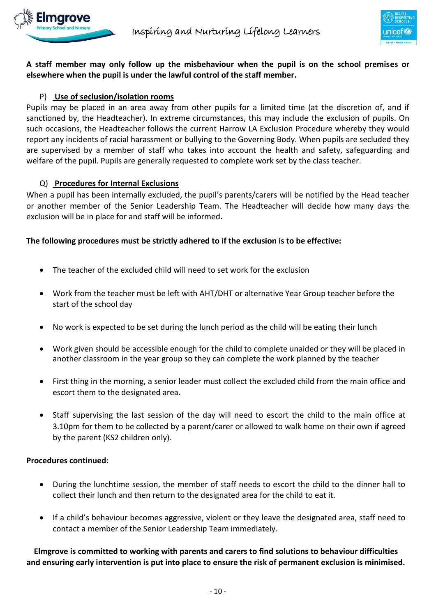



**A staff member may only follow up the misbehaviour when the pupil is on the school premises or elsewhere when the pupil is under the lawful control of the staff member.**

### P) **Use of seclusion/isolation rooms**

Pupils may be placed in an area away from other pupils for a limited time (at the discretion of, and if sanctioned by, the Headteacher). In extreme circumstances, this may include the exclusion of pupils. On such occasions, the Headteacher follows the current Harrow LA Exclusion Procedure whereby they would report any incidents of racial harassment or bullying to the Governing Body. When pupils are secluded they are supervised by a member of staff who takes into account the health and safety, safeguarding and welfare of the pupil. Pupils are generally requested to complete work set by the class teacher.

#### Q) **Procedures for Internal Exclusions**

When a pupil has been internally excluded, the pupil's parents/carers will be notified by the Head teacher or another member of the Senior Leadership Team. The Headteacher will decide how many days the exclusion will be in place for and staff will be informed**.** 

#### **The following procedures must be strictly adhered to if the exclusion is to be effective:**

- The teacher of the excluded child will need to set work for the exclusion
- Work from the teacher must be left with AHT/DHT or alternative Year Group teacher before the start of the school day
- No work is expected to be set during the lunch period as the child will be eating their lunch
- Work given should be accessible enough for the child to complete unaided or they will be placed in another classroom in the year group so they can complete the work planned by the teacher
- First thing in the morning, a senior leader must collect the excluded child from the main office and escort them to the designated area.
- Staff supervising the last session of the day will need to escort the child to the main office at 3.10pm for them to be collected by a parent/carer or allowed to walk home on their own if agreed by the parent (KS2 children only).

#### **Procedures continued:**

- During the lunchtime session, the member of staff needs to escort the child to the dinner hall to collect their lunch and then return to the designated area for the child to eat it.
- If a child's behaviour becomes aggressive, violent or they leave the designated area, staff need to contact a member of the Senior Leadership Team immediately.

**Elmgrove is committed to working with parents and carers to find solutions to behaviour difficulties and ensuring early intervention is put into place to ensure the risk of permanent exclusion is minimised.**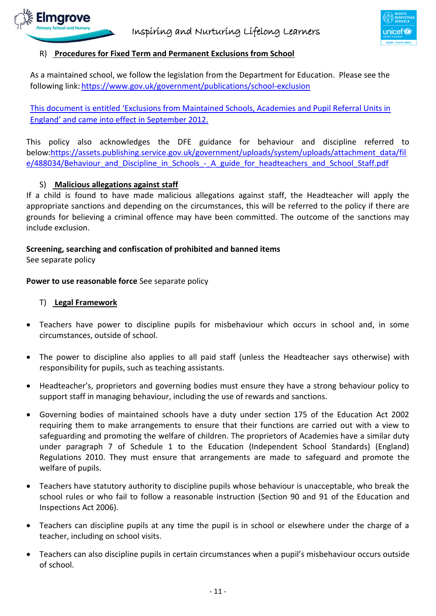



#### R) **Procedures for Fixed Term and Permanent Exclusions from School**

As a maintained school, we follow the legislation from the Department for Education. Please see the following link[:https://www.gov.uk/government/publications/school-exclusion](https://www.gov.uk/government/publications/school-exclusion)

This document is entitled 'Exclusions from Maintained Schools, Academies and Pupil Referral Units in England' and came into effect in September 2012.

This policy also acknowledges the DFE guidance for behaviour and discipline referred to below[:https://assets.publishing.service.gov.uk/government/uploads/system/uploads/attachment\\_data/fil](https://assets.publishing.service.gov.uk/government/uploads/system/uploads/attachment_data/file/488034/Behaviour_and_Discipline_in_Schools_-_A_guide_for_headteachers_and_School_Staff.pdf) [e/488034/Behaviour\\_and\\_Discipline\\_in\\_Schools\\_-\\_A\\_guide\\_for\\_headteachers\\_and\\_School\\_Staff.pdf](https://assets.publishing.service.gov.uk/government/uploads/system/uploads/attachment_data/file/488034/Behaviour_and_Discipline_in_Schools_-_A_guide_for_headteachers_and_School_Staff.pdf)

#### S) **Malicious allegations against staff**

If a child is found to have made malicious allegations against staff, the Headteacher will apply the appropriate sanctions and depending on the circumstances, this will be referred to the policy if there are grounds for believing a criminal offence may have been committed. The outcome of the sanctions may include exclusion.

#### **Screening, searching and confiscation of prohibited and banned items**

See separate policy

**Power to use reasonable force** See separate policy

#### T) **Legal Framework**

- Teachers have power to discipline pupils for misbehaviour which occurs in school and, in some circumstances, outside of school.
- The power to discipline also applies to all paid staff (unless the Headteacher says otherwise) with responsibility for pupils, such as teaching assistants.
- Headteacher's, proprietors and governing bodies must ensure they have a strong behaviour policy to support staff in managing behaviour, including the use of rewards and sanctions.
- Governing bodies of maintained schools have a duty under section 175 of the Education Act 2002 requiring them to make arrangements to ensure that their functions are carried out with a view to safeguarding and promoting the welfare of children. The proprietors of Academies have a similar duty under paragraph 7 of Schedule 1 to the Education (Independent School Standards) (England) Regulations 2010. They must ensure that arrangements are made to safeguard and promote the welfare of pupils.
- Teachers have statutory authority to discipline pupils whose behaviour is unacceptable, who break the school rules or who fail to follow a reasonable instruction (Section 90 and 91 of the Education and Inspections Act 2006).
- Teachers can discipline pupils at any time the pupil is in school or elsewhere under the charge of a teacher, including on school visits.
- Teachers can also discipline pupils in certain circumstances when a pupil's misbehaviour occurs outside of school.